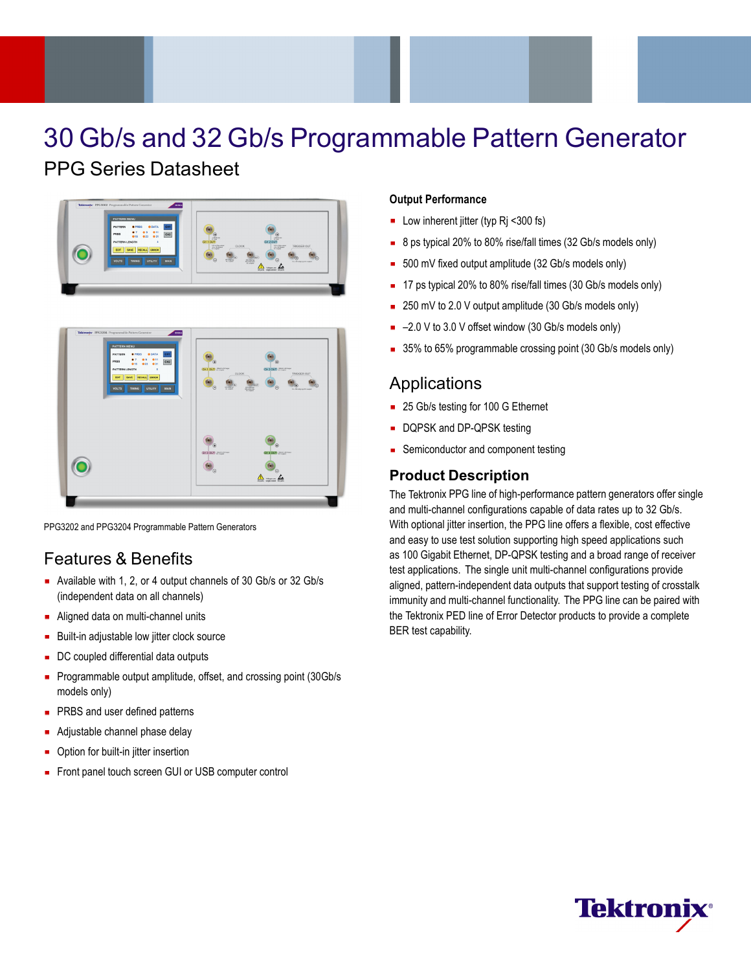# 30 Gb/s and 32 Gb/s Programmable Pattern Generator

# PPG Series Datasheet





PPG3202 and PPG3204 Programmable Pattern Generators

# Features & Benefits

- Available with 1, 2, or 4 output channels of 30 Gb/s or 32 Gb/s (independent data on all channels)
- **Aligned data on multi-channel units**
- **Built-in adjustable low jitter clock source**
- DC coupled differential data outputs
- **Programmable output amplitude, offset, and crossing point (30Gb/s)** models only)
- **PRBS** and user defined patterns
- Adjustable channel phase delay
- Option for built-in jitter insertion
- Front panel touch screen GUI or USB computer control

#### **Output Performance**

- Low inherent jitter (typ Rj <300 fs)
- 8 ps typical 20% to 80% rise/fall times (32 Gb/s models only)  $\mathbf{r}$
- 500 mV fixed output amplitude (32 Gb/s models only)
- 17 ps typical 20% to 80% rise/fall times (30 Gb/s models only)
- 250 mV to 2.0 V output amplitude (30 Gb/s models only)
- –2.0 V to 3.0 V offset window (30 Gb/s models only)
- 35% to 65% programmable crossing point (30 Gb/s models only)

## **Applications**

- 25 Gb/s testing for 100 G Ethernet
- DQPSK and DP-QPSK testing
- Semiconductor and component testing

#### **Product Description**

The Tektronix PPG line of high-performance pattern generators offer single and multi-channel configurations capable of data rates up to 32 Gb/s. With optional jitter insertion, the PPG line offers a flexible, cost effective and easy to use test solution supporting high speed applications such as 100 Gigabit Ethernet, DP-QPSK testing and a broad range of receiver test applications. The single unit multi-channel configurations provide aligned, pattern-independent data outputs that support testing of crosstalk immunity and multi-channel functionality. The PPG line can be paired with the Tektronix PED line of Error Detector products to provide a complete BER test capability.

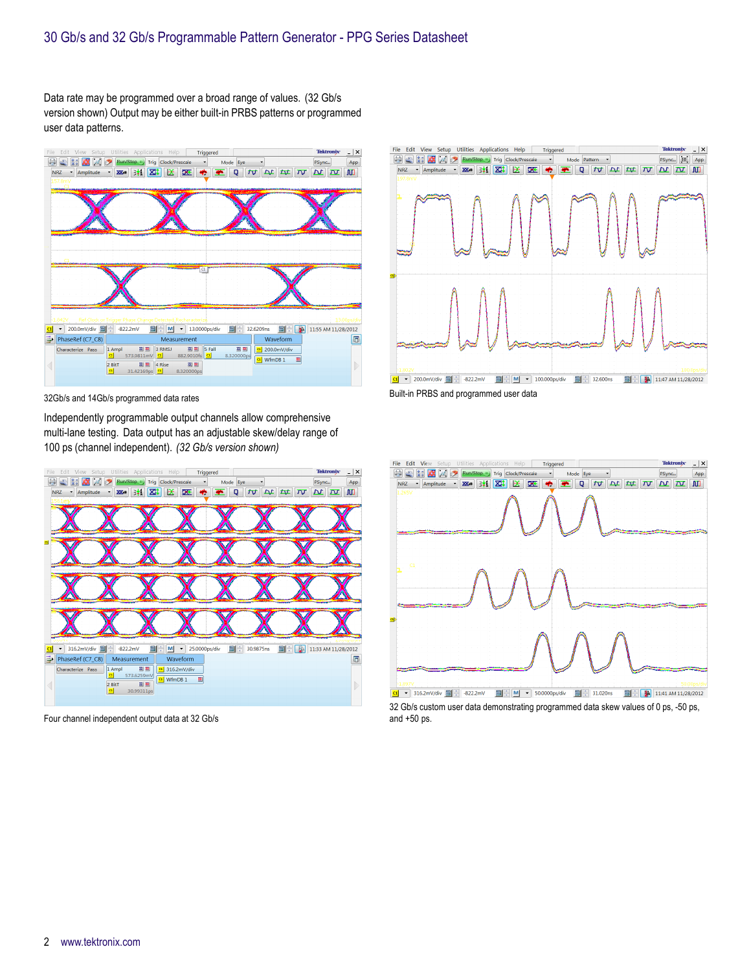Data rate may be programmed over a broad range of values. (32 Gb/s version shown) Output may be either built-in PRBS patterns or programmed user data patterns.



32Gb/s and 14Gb/s programmed data rates

Independently programmable output channels allow comprehensive multi-lane testing. Data output has an adjustable skew/delay range of 100 ps (channel independent). *(32 Gb/s version shown)*



Four channel independent output data at 32 Gb/s



Built-in PRBS and programmed user data



32 Gb/s custom user data demonstrating programmed data skew values of 0 ps, -50 ps, and +50 ps.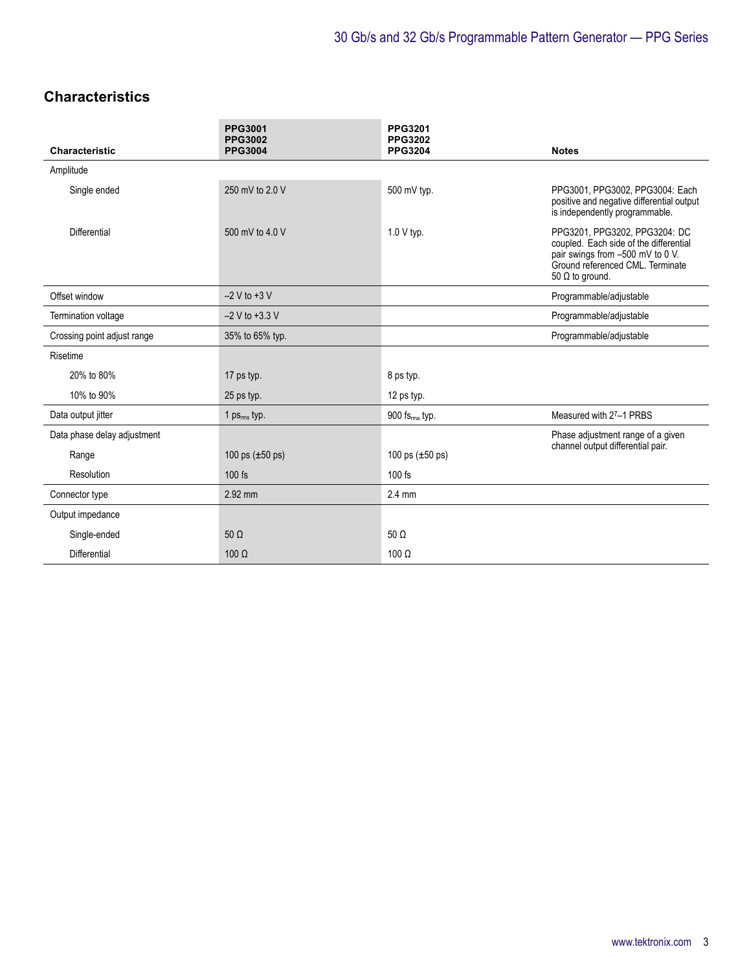# **Characteristics**

| <b>Characteristic</b>       | <b>PPG3001</b><br>PPG3002<br><b>PPG3004</b> | <b>PPG3201</b><br><b>PPG3202</b><br><b>PPG3204</b> | <b>Notes</b>                                                                                                                                                              |
|-----------------------------|---------------------------------------------|----------------------------------------------------|---------------------------------------------------------------------------------------------------------------------------------------------------------------------------|
| Amplitude                   |                                             |                                                    |                                                                                                                                                                           |
| Single ended                | 250 mV to 2.0 V                             | 500 mV typ.                                        | PPG3001, PPG3002, PPG3004: Each<br>positive and negative differential output<br>is independently programmable.                                                            |
| Differential                | 500 mV to 4.0 V                             | 1.0 V typ.                                         | PPG3201, PPG3202, PPG3204: DC<br>coupled. Each side of the differential<br>pair swings from -500 mV to 0 V.<br>Ground referenced CML. Terminate<br>50 $\Omega$ to ground. |
| Offset window               | $-2$ V to $+3$ V                            |                                                    | Programmable/adjustable                                                                                                                                                   |
| Termination voltage         | $-2$ V to $+3.3$ V                          |                                                    | Programmable/adjustable                                                                                                                                                   |
| Crossing point adjust range | 35% to 65% typ.                             |                                                    | Programmable/adjustable                                                                                                                                                   |
| Risetime                    |                                             |                                                    |                                                                                                                                                                           |
| 20% to 80%                  | 17 ps typ.                                  | 8 ps typ.                                          |                                                                                                                                                                           |
| 10% to 90%                  | 25 ps typ.                                  | 12 ps typ.                                         |                                                                                                                                                                           |
| Data output jitter          | 1 $ps_{rms}$ typ.                           | 900 fs <sub>ma</sub> typ.                          | Measured with 27-1 PRBS                                                                                                                                                   |
| Data phase delay adjustment |                                             |                                                    | Phase adjustment range of a given                                                                                                                                         |
| Range                       | 100 ps $(\pm 50 \text{ ps})$                | 100 ps $(\pm 50 \text{ ps})$                       | channel output differential pair.                                                                                                                                         |
| Resolution                  | $100$ fs                                    | $100$ fs                                           |                                                                                                                                                                           |
| Connector type              | 2.92 mm                                     | $2.4 \text{ mm}$                                   |                                                                                                                                                                           |
| Output impedance            |                                             |                                                    |                                                                                                                                                                           |
| Single-ended                | $50 \Omega$                                 | 50 $\Omega$                                        |                                                                                                                                                                           |
| Differential                | $100 \Omega$                                | $100 \Omega$                                       |                                                                                                                                                                           |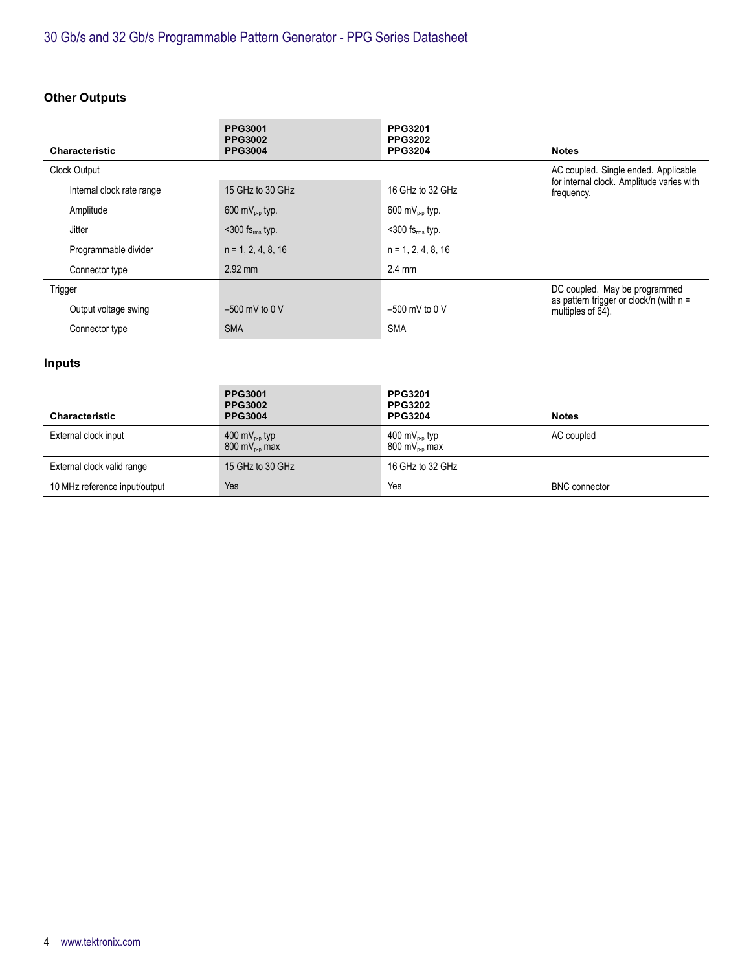# **Other Outputs**

| <b>Characteristic</b>     | <b>PPG3001</b><br><b>PPG3002</b> | <b>PPG3201</b><br><b>PPG3202</b><br><b>PPG3204</b> |                                                                |
|---------------------------|----------------------------------|----------------------------------------------------|----------------------------------------------------------------|
|                           | <b>PPG3004</b>                   |                                                    | <b>Notes</b>                                                   |
| Clock Output              |                                  |                                                    | AC coupled. Single ended. Applicable                           |
| Internal clock rate range | 15 GHz to 30 GHz                 | 16 GHz to 32 GHz                                   | for internal clock. Amplitude varies with<br>frequency.        |
| Amplitude                 | 600 m $V_{\text{p.p}}$ typ.      | 600 m $V_{p-p}$ typ.                               |                                                                |
| <b>Jitter</b>             | $<$ 300 fs <sub>rms</sub> typ.   | $<$ 300 fs $_{rms}$ typ.                           |                                                                |
| Programmable divider      | $n = 1, 2, 4, 8, 16$             | $n = 1, 2, 4, 8, 16$                               |                                                                |
| Connector type            | $2.92$ mm                        | $2.4 \text{ mm}$                                   |                                                                |
| Trigger                   |                                  |                                                    | DC coupled. May be programmed                                  |
| Output voltage swing      | $-500$ mV to 0 V                 | $-500$ mV to 0 V                                   | as pattern trigger or clock/n (with $n =$<br>multiples of 64). |
| Connector type            | <b>SMA</b>                       | <b>SMA</b>                                         |                                                                |

### **Inputs**

| <b>Characteristic</b>         | <b>PPG3001</b><br><b>PPG3002</b><br><b>PPG3004</b>      | <b>PPG3201</b><br><b>PPG3202</b><br><b>PPG3204</b>      | <b>Notes</b>         |
|-------------------------------|---------------------------------------------------------|---------------------------------------------------------|----------------------|
| External clock input          | 400 mV <sub>p-p</sub> typ<br>$800 \text{ mV}_{p-p}$ max | 400 mV <sub>p-p</sub> typ<br>$800 \text{ mV}_{p-p}$ max | AC coupled           |
| External clock valid range    | 15 GHz to 30 GHz                                        | 16 GHz to 32 GHz                                        |                      |
| 10 MHz reference input/output | Yes                                                     | Yes                                                     | <b>BNC</b> connector |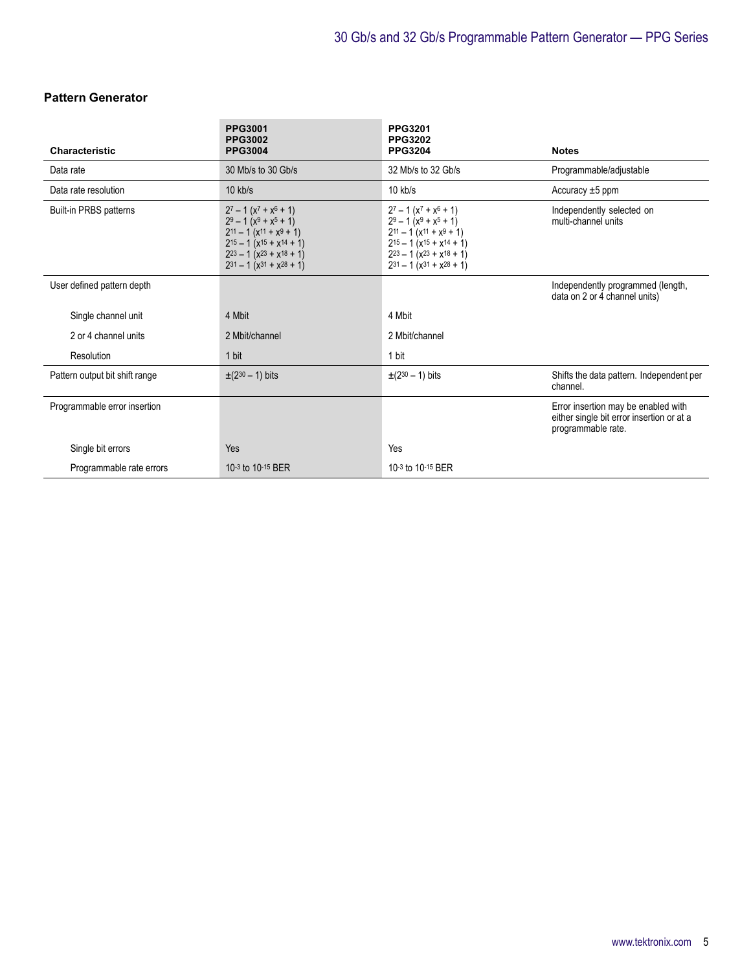#### **Pattern Generator**

| <b>Characteristic</b>          | <b>PPG3001</b><br><b>PPG3002</b><br><b>PPG3004</b>                                                                                                                                                    | <b>PPG3201</b><br><b>PPG3202</b><br><b>PPG3204</b>                                                                                                                                                    | <b>Notes</b>                                                                                           |
|--------------------------------|-------------------------------------------------------------------------------------------------------------------------------------------------------------------------------------------------------|-------------------------------------------------------------------------------------------------------------------------------------------------------------------------------------------------------|--------------------------------------------------------------------------------------------------------|
| Data rate                      | 30 Mb/s to 30 Gb/s                                                                                                                                                                                    | 32 Mb/s to 32 Gb/s                                                                                                                                                                                    | Programmable/adjustable                                                                                |
| Data rate resolution           | $10$ kb/s                                                                                                                                                                                             | $10$ kb/s                                                                                                                                                                                             | Accuracy $\pm 5$ ppm                                                                                   |
| <b>Built-in PRBS patterns</b>  | $2^7 - 1(x^7 + x^6 + 1)$<br>$2^9 - 1(x^9 + x^5 + 1)$<br>$2^{11} - 1(x^{11} + x^9 + 1)$<br>$2^{15} - 1(x^{15} + x^{14} + 1)$<br>$2^{23} - 1(x^{23} + x^{18} + 1)$<br>$2^{31} - 1(x^{31} + x^{28} + 1)$ | $2^7 - 1(x^7 + x^6 + 1)$<br>$2^9 - 1(x^9 + x^5 + 1)$<br>$2^{11} - 1(x^{11} + x^9 + 1)$<br>$2^{15} - 1(x^{15} + x^{14} + 1)$<br>$2^{23} - 1(x^{23} + x^{18} + 1)$<br>$2^{31} - 1(x^{31} + x^{28} + 1)$ | Independently selected on<br>multi-channel units                                                       |
| User defined pattern depth     |                                                                                                                                                                                                       |                                                                                                                                                                                                       | Independently programmed (length,<br>data on 2 or 4 channel units)                                     |
| Single channel unit            | 4 Mbit                                                                                                                                                                                                | 4 Mbit                                                                                                                                                                                                |                                                                                                        |
| 2 or 4 channel units           | 2 Mbit/channel                                                                                                                                                                                        | 2 Mbit/channel                                                                                                                                                                                        |                                                                                                        |
| Resolution                     | 1 bit                                                                                                                                                                                                 | 1 bit                                                                                                                                                                                                 |                                                                                                        |
| Pattern output bit shift range | $\pm (2^{30} - 1)$ bits                                                                                                                                                                               | $\pm (2^{30} - 1)$ bits                                                                                                                                                                               | Shifts the data pattern. Independent per<br>channel.                                                   |
| Programmable error insertion   |                                                                                                                                                                                                       |                                                                                                                                                                                                       | Error insertion may be enabled with<br>either single bit error insertion or at a<br>programmable rate. |
| Single bit errors              | Yes                                                                                                                                                                                                   | Yes                                                                                                                                                                                                   |                                                                                                        |
| Programmable rate errors       | 10-3 to 10-15 BER                                                                                                                                                                                     | 10-3 to 10-15 BER                                                                                                                                                                                     |                                                                                                        |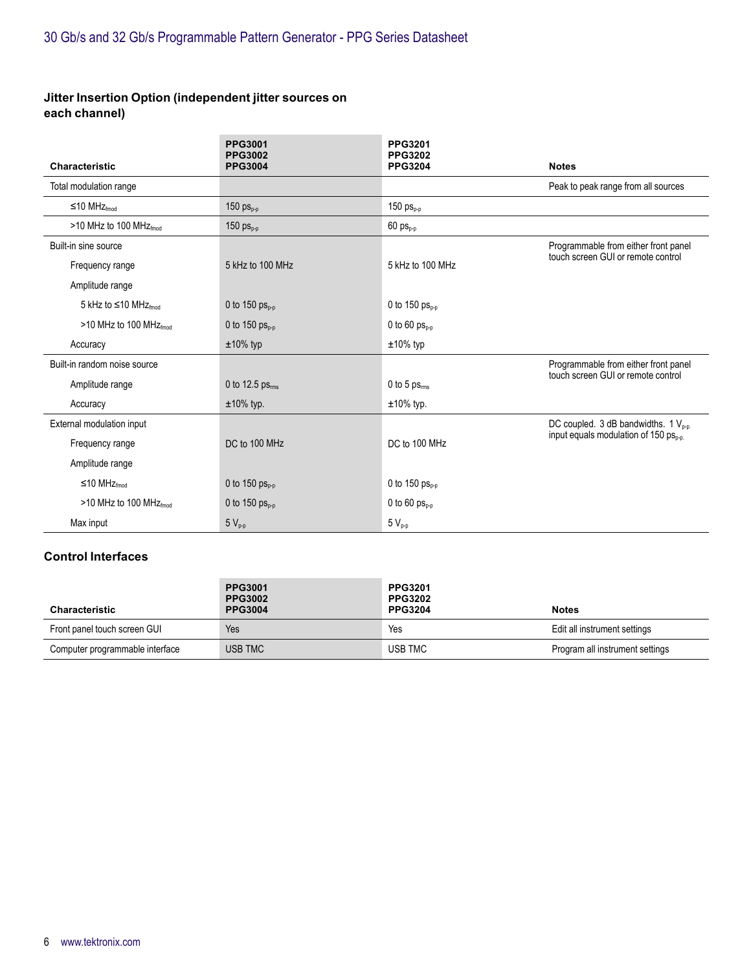#### **Jitter Insertion Option (independent jitter sources on each channel)**

| <b>Characteristic</b>                  | <b>PPG3001</b><br><b>PPG3002</b><br><b>PPG3004</b> | PPG3201<br><b>PPG3202</b><br><b>PPG3204</b> | <b>Notes</b>                                                               |
|----------------------------------------|----------------------------------------------------|---------------------------------------------|----------------------------------------------------------------------------|
| Total modulation range                 |                                                    |                                             | Peak to peak range from all sources                                        |
| ≤10 MHz $_{\text{fmod}}$               | 150 $ps_{p-p}$                                     | 150 $ps_{p-p}$                              |                                                                            |
| >10 MHz to 100 MHz $_{\text{fmod}}$    | 150 $ps_{p-p}$                                     | $60 \text{ ps}_{p-p}$                       |                                                                            |
| Built-in sine source                   |                                                    |                                             | Programmable from either front panel<br>touch screen GUI or remote control |
| Frequency range                        | 5 kHz to 100 MHz                                   | 5 kHz to 100 MHz                            |                                                                            |
| Amplitude range                        |                                                    |                                             |                                                                            |
| 5 kHz to $\leq$ 10 MHz <sub>fmod</sub> | 0 to 150 $ps_{p-p}$                                | 0 to 150 $ps_{p,q}$                         |                                                                            |
| >10 MHz to 100 MHz $_{\text{fmod}}$    | 0 to 150 $ps_{p-p}$                                | 0 to 60 $ps_{p-p}$                          |                                                                            |
| Accuracy                               | $±10\%$ typ                                        | $±10\%$ typ                                 |                                                                            |
| Built-in random noise source           |                                                    |                                             | Programmable from either front panel                                       |
| Amplitude range                        | 0 to 12.5 $ps_{rms}$                               | 0 to 5 $ps_{rms}$                           | touch screen GUI or remote control                                         |
| Accuracy                               | $±10\%$ typ.                                       | $±10\%$ typ.                                |                                                                            |
| External modulation input              |                                                    |                                             | DC coupled. 3 dB bandwidths. 1 $V_{p-p}$ .                                 |
| Frequency range                        | DC to 100 MHz                                      | DC to 100 MHz                               | input equals modulation of 150 $ps_{n-n}$                                  |
| Amplitude range                        |                                                    |                                             |                                                                            |
| ≤10 MHz $_{\text{fmod}}$               | 0 to 150 $ps_{n-n}$                                | 0 to 150 $ps_{p,q}$                         |                                                                            |
| $>10$ MHz to 100 MHz $_{\text{fmod}}$  | 0 to 150 $ps_{p-p}$                                | 0 to 60 $ps_{p-p}$                          |                                                                            |
| Max input                              | $5V_{p-p}$                                         | $5V_{p-p}$                                  |                                                                            |

#### **Control Interfaces**

| <b>Characteristic</b>           | <b>PPG3001</b><br><b>PPG3002</b><br><b>PPG3004</b> | <b>PPG3201</b><br><b>PPG3202</b><br><b>PPG3204</b> | <b>Notes</b>                    |
|---------------------------------|----------------------------------------------------|----------------------------------------------------|---------------------------------|
| Front panel touch screen GUI    | Yes                                                | Yes                                                | Edit all instrument settings    |
| Computer programmable interface | USB TMC                                            | USB TMC                                            | Program all instrument settings |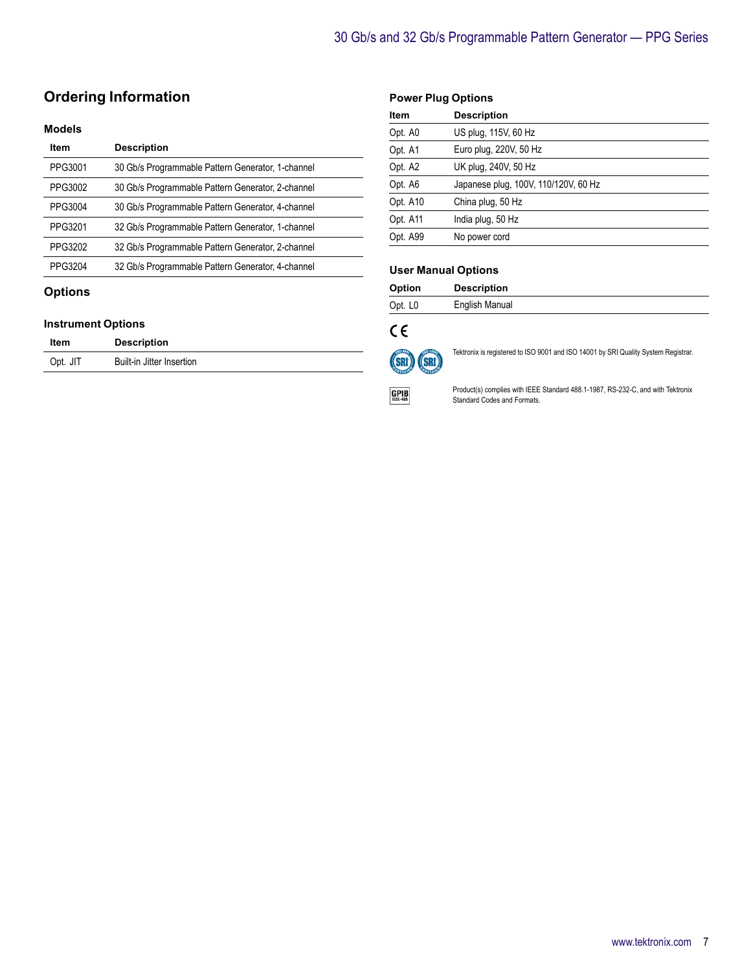# **Ordering Information**

#### **Models**

| <b>Item</b> | <b>Description</b>                                |
|-------------|---------------------------------------------------|
| PPG3001     | 30 Gb/s Programmable Pattern Generator, 1-channel |
| PPG3002     | 30 Gb/s Programmable Pattern Generator, 2-channel |
| PPG3004     | 30 Gb/s Programmable Pattern Generator, 4-channel |
| PPG3201     | 32 Gb/s Programmable Pattern Generator, 1-channel |
| PPG3202     | 32 Gb/s Programmable Pattern Generator, 2-channel |
| PPG3204     | 32 Gb/s Programmable Pattern Generator, 4-channel |
|             |                                                   |

#### **Options**

#### **Instrument Options**

| Item     | <b>Description</b>        |
|----------|---------------------------|
| Opt. JIT | Built-in Jitter Insertion |

#### **Power Plug Options**

| Item     | <b>Description</b>                   |
|----------|--------------------------------------|
| Opt. A0  | US plug, 115V, 60 Hz                 |
| Opt. A1  | Euro plug, 220V, 50 Hz               |
| Opt. A2  | UK plug, 240V, 50 Hz                 |
| Opt. A6  | Japanese plug, 100V, 110/120V, 60 Hz |
| Opt. A10 | China plug, 50 Hz                    |
| Opt. A11 | India plug, 50 Hz                    |
| Opt. A99 | No power cord                        |

#### **User Manual Options**

| Option              | <b>Description</b> |
|---------------------|--------------------|
| Opt. L <sub>0</sub> | English Manual     |

# $C \in$



Tektronix is registered to ISO 9001 and ISO 14001 by SRI Quality System Registrar.

 $GPIB$ 

Product(s) complies with IEEE Standard 488.1-1987, RS-232-C, and with Tektronix Standard Codes and Formats.